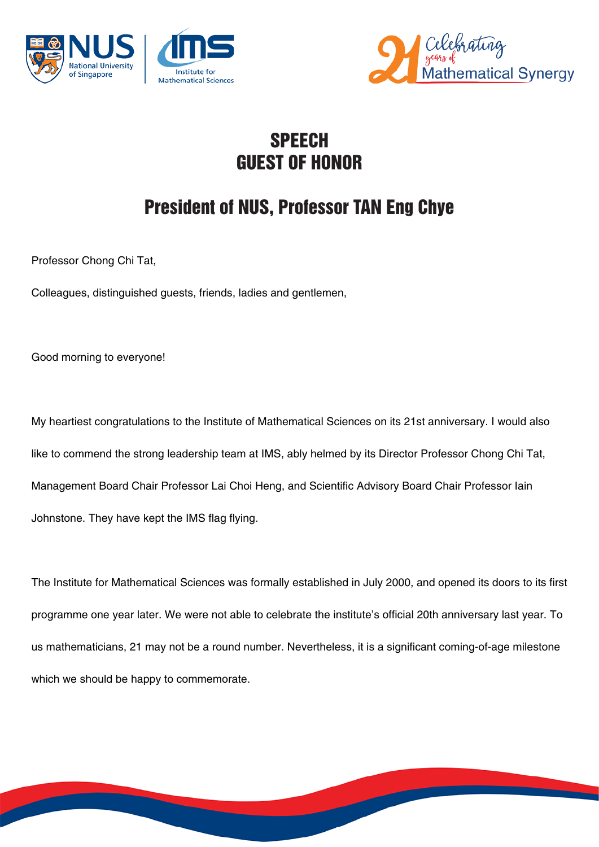



## **SPEECH** GUEST OF HONOR

## President of NUS, Professor TAN Eng Chye

Professor Chong Chi Tat,

Colleagues, distinguished guests, friends, ladies and gentlemen,

Good morning to everyone!

My heartiest congratulations to the Institute of Mathematical Sciences on its 21st anniversary. I would also like to commend the strong leadership team at IMS, ably helmed by its Director Professor Chong Chi Tat, Management Board Chair Professor Lai Choi Heng, and Scientific Advisory Board Chair Professor Iain Johnstone. They have kept the IMS flag flying.

The Institute for Mathematical Sciences was formally established in July 2000, and opened its doors to its first programme one year later. We were not able to celebrate the institute's official 20th anniversary last year. To us mathematicians, 21 may not be a round number. Nevertheless, it is a significant coming-of-age milestone which we should be happy to commemorate.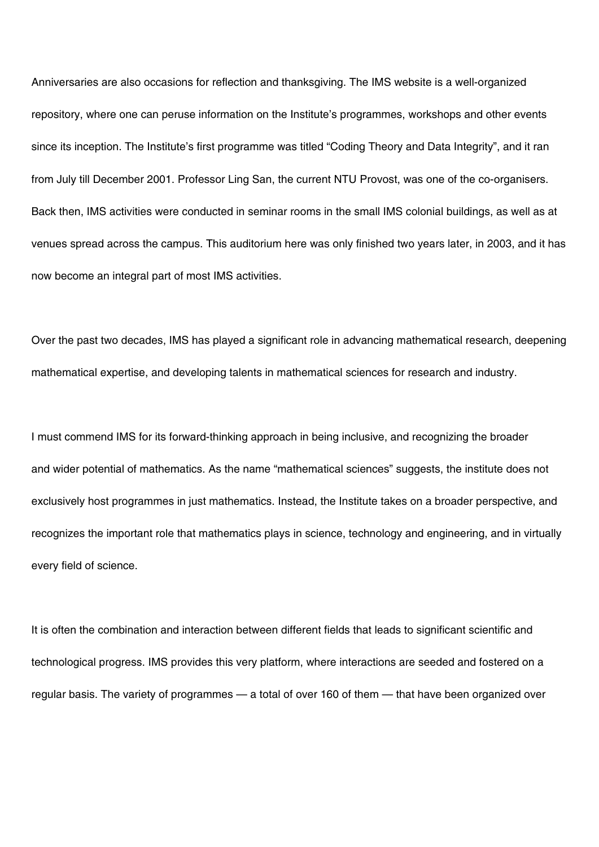Anniversaries are also occasions for reflection and thanksgiving. The IMS website is a well-organized repository, where one can peruse information on the Institute's programmes, workshops and other events since its inception. The Institute's first programme was titled "Coding Theory and Data Integrity", and it ran from July till December 2001. Professor Ling San, the current NTU Provost, was one of the co-organisers. Back then, IMS activities were conducted in seminar rooms in the small IMS colonial buildings, as well as at venues spread across the campus. This auditorium here was only finished two years later, in 2003, and it has now become an integral part of most IMS activities.

Over the past two decades, IMS has played a significant role in advancing mathematical research, deepening mathematical expertise, and developing talents in mathematical sciences for research and industry.

I must commend IMS for its forward-thinking approach in being inclusive, and recognizing the broader and wider potential of mathematics. As the name "mathematical sciences" suggests, the institute does not exclusively host programmes in just mathematics. Instead, the Institute takes on a broader perspective, and recognizes the important role that mathematics plays in science, technology and engineering, and in virtually every field of science.

It is often the combination and interaction between different fields that leads to significant scientific and technological progress. IMS provides this very platform, where interactions are seeded and fostered on a regular basis. The variety of programmes — a total of over 160 of them — that have been organized over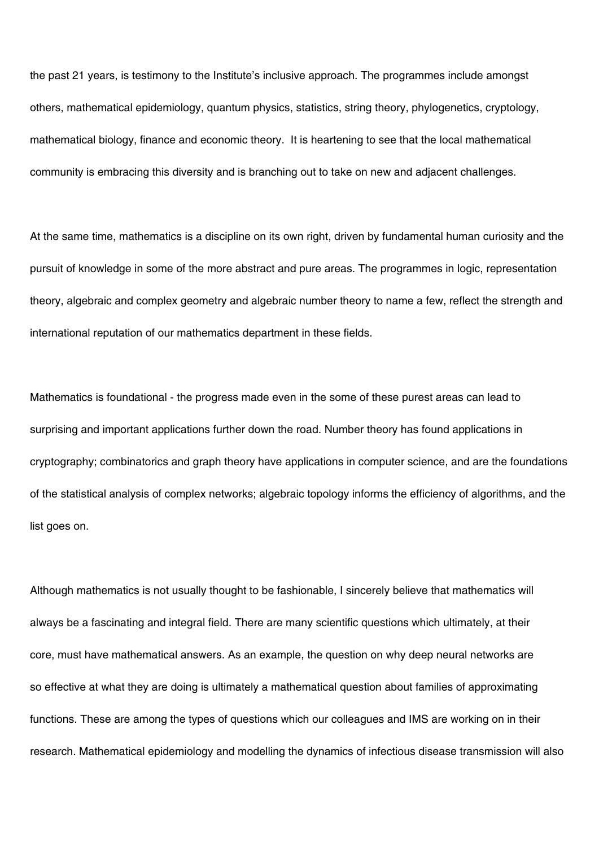the past 21 years, is testimony to the Institute's inclusive approach. The programmes include amongst others, mathematical epidemiology, quantum physics, statistics, string theory, phylogenetics, cryptology, mathematical biology, finance and economic theory. It is heartening to see that the local mathematical community is embracing this diversity and is branching out to take on new and adjacent challenges.

At the same time, mathematics is a discipline on its own right, driven by fundamental human curiosity and the pursuit of knowledge in some of the more abstract and pure areas. The programmes in logic, representation theory, algebraic and complex geometry and algebraic number theory to name a few, reflect the strength and international reputation of our mathematics department in these fields.

Mathematics is foundational - the progress made even in the some of these purest areas can lead to surprising and important applications further down the road. Number theory has found applications in cryptography; combinatorics and graph theory have applications in computer science, and are the foundations of the statistical analysis of complex networks; algebraic topology informs the efficiency of algorithms, and the list goes on.

Although mathematics is not usually thought to be fashionable, I sincerely believe that mathematics will always be a fascinating and integral field. There are many scientific questions which ultimately, at their core, must have mathematical answers. As an example, the question on why deep neural networks are so effective at what they are doing is ultimately a mathematical question about families of approximating functions. These are among the types of questions which our colleagues and IMS are working on in their research. Mathematical epidemiology and modelling the dynamics of infectious disease transmission will also